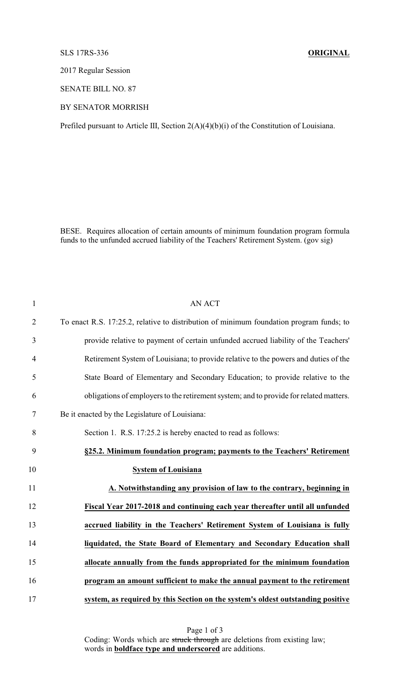## SLS 17RS-336 **ORIGINAL**

2017 Regular Session

SENATE BILL NO. 87

## BY SENATOR MORRISH

Prefiled pursuant to Article III, Section 2(A)(4)(b)(i) of the Constitution of Louisiana.

BESE. Requires allocation of certain amounts of minimum foundation program formula funds to the unfunded accrued liability of the Teachers' Retirement System. (gov sig)

| $\mathbf{1}$   | <b>AN ACT</b>                                                                           |
|----------------|-----------------------------------------------------------------------------------------|
| $\overline{2}$ | To enact R.S. 17:25.2, relative to distribution of minimum foundation program funds; to |
| 3              | provide relative to payment of certain unfunded accrued liability of the Teachers'      |
| $\overline{4}$ | Retirement System of Louisiana; to provide relative to the powers and duties of the     |
| 5              | State Board of Elementary and Secondary Education; to provide relative to the           |
| 6              | obligations of employers to the retirement system; and to provide for related matters.  |
| 7              | Be it enacted by the Legislature of Louisiana:                                          |
| 8              | Section 1. R.S. 17:25.2 is hereby enacted to read as follows:                           |
| 9              | §25.2. Minimum foundation program; payments to the Teachers' Retirement                 |
| 10             | <b>System of Louisiana</b>                                                              |
| 11             | A. Notwithstanding any provision of law to the contrary, beginning in                   |
| 12             | Fiscal Year 2017-2018 and continuing each year thereafter until all unfunded            |
| 13             | accrued liability in the Teachers' Retirement System of Louisiana is fully              |
| 14             | liquidated, the State Board of Elementary and Secondary Education shall                 |
| 15             | allocate annually from the funds appropriated for the minimum foundation                |
| 16             | program an amount sufficient to make the annual payment to the retirement               |
| 17             | system, as required by this Section on the system's oldest outstanding positive         |

Page 1 of 3 Coding: Words which are struck through are deletions from existing law; words in **boldface type and underscored** are additions.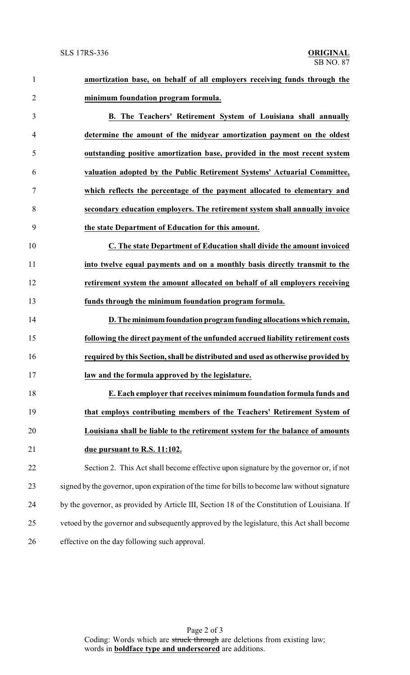**amortization base, on behalf of all employers receiving funds through the minimum foundation program formula. B. The Teachers' Retirement System of Louisiana shall annually determine the amount of the midyear amortization payment on the oldest outstanding positive amortization base, provided in the most recent system valuation adopted by the Public Retirement Systems' Actuarial Committee, which reflects the percentage of the payment allocated to elementary and secondary education employers. The retirement system shall annually invoice the state Department of Education for this amount. C. The state Department of Education shall divide the amount invoiced into twelve equal payments and on a monthly basis directly transmit to the retirement system the amount allocated on behalf of all employers receiving funds through the minimum foundation program formula. D. The minimumfoundation programfunding allocations which remain, following the direct payment of the unfunded accrued liability retirement costs required by this Section, shall be distributed and used as otherwise provided by law and the formula approved by the legislature. E. Each employer that receives minimum foundation formula funds and that employs contributing members of the Teachers' Retirement System of Louisiana shall be liable to the retirement system for the balance of amounts due pursuant to R.S. 11:102.** Section 2. This Act shall become effective upon signature by the governor or, if not signed by the governor, upon expiration of the time for bills to become law without signature by the governor, as provided by Article III, Section 18 of the Constitution of Louisiana. If vetoed by the governor and subsequently approved by the legislature, this Act shall become effective on the day following such approval.